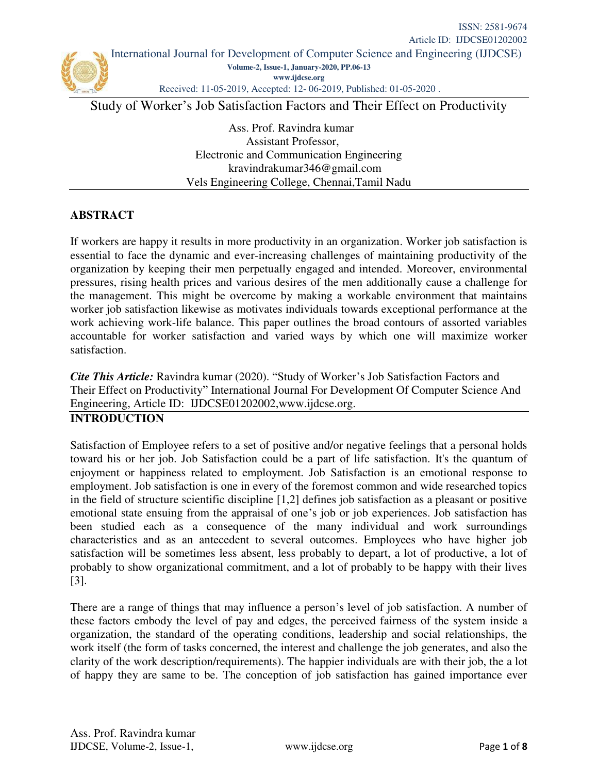

Received: 11-05-2019, Accepted: 12- 06-2019, Published: 01-05-2020 .

Study of Worker's Job Satisfaction Factors and Their Effect on Productivity

Ass. Prof. Ravindra kumar Assistant Professor, Electronic and Communication Engineering [kravindrakumar346@gmail.com](mailto:kravindrakumar346@gmail.com)  Vels Engineering College, Chennai,Tamil Nadu

# **ABSTRACT**

If workers are happy it results in more productivity in an organization. Worker job satisfaction is essential to face the dynamic and ever-increasing challenges of maintaining productivity of the organization by keeping their men perpetually engaged and intended. Moreover, environmental pressures, rising health prices and various desires of the men additionally cause a challenge for the management. This might be overcome by making a workable environment that maintains worker job satisfaction likewise as motivates individuals towards exceptional performance at the work achieving work-life balance. This paper outlines the broad contours of assorted variables accountable for worker satisfaction and varied ways by which one will maximize worker satisfaction.

*Cite This Article:* Ravindra kumar (2020). "Study of Worker's Job Satisfaction Factors and Their Effect on Productivity" International Journal For Development Of Computer Science And Engineering, Article ID: IJDCSE01202002[,www.ijdcse.org.](http://www.ijdcse.org/)

#### **INTRODUCTION**

Satisfaction of Employee refers to a set of positive and/or negative feelings that a personal holds toward his or her job. Job Satisfaction could be a part of life satisfaction. It's the quantum of enjoyment or happiness related to employment. Job Satisfaction is an emotional response to employment. Job satisfaction is one in every of the foremost common and wide researched topics in the field of structure scientific discipline [1,2] defines job satisfaction as a pleasant or positive emotional state ensuing from the appraisal of one's job or job experiences. Job satisfaction has been studied each as a consequence of the many individual and work surroundings characteristics and as an antecedent to several outcomes. Employees who have higher job satisfaction will be sometimes less absent, less probably to depart, a lot of productive, a lot of probably to show organizational commitment, and a lot of probably to be happy with their lives [3].

There are a range of things that may influence a person's level of job satisfaction. A number of these factors embody the level of pay and edges, the perceived fairness of the system inside a organization, the standard of the operating conditions, leadership and social relationships, the work itself (the form of tasks concerned, the interest and challenge the job generates, and also the clarity of the work description/requirements). The happier individuals are with their job, the a lot of happy they are same to be. The conception of job satisfaction has gained importance ever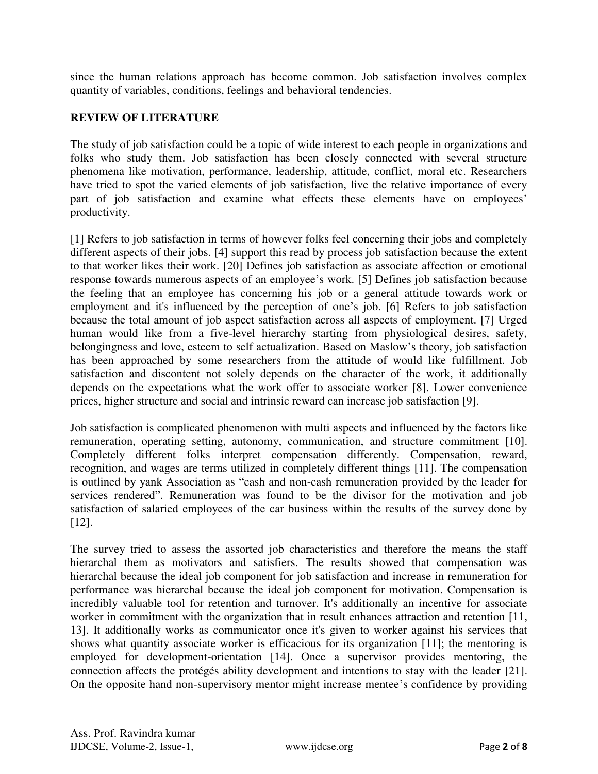since the human relations approach has become common. Job satisfaction involves complex quantity of variables, conditions, feelings and behavioral tendencies.

# **REVIEW OF LITERATURE**

The study of job satisfaction could be a topic of wide interest to each people in organizations and folks who study them. Job satisfaction has been closely connected with several structure phenomena like motivation, performance, leadership, attitude, conflict, moral etc. Researchers have tried to spot the varied elements of job satisfaction, live the relative importance of every part of job satisfaction and examine what effects these elements have on employees' productivity.

[1] Refers to job satisfaction in terms of however folks feel concerning their jobs and completely different aspects of their jobs. [4] support this read by process job satisfaction because the extent to that worker likes their work. [20] Defines job satisfaction as associate affection or emotional response towards numerous aspects of an employee's work. [5] Defines job satisfaction because the feeling that an employee has concerning his job or a general attitude towards work or employment and it's influenced by the perception of one's job. [6] Refers to job satisfaction because the total amount of job aspect satisfaction across all aspects of employment. [7] Urged human would like from a five-level hierarchy starting from physiological desires, safety, belongingness and love, esteem to self actualization. Based on Maslow's theory, job satisfaction has been approached by some researchers from the attitude of would like fulfillment. Job satisfaction and discontent not solely depends on the character of the work, it additionally depends on the expectations what the work offer to associate worker [8]. Lower convenience prices, higher structure and social and intrinsic reward can increase job satisfaction [9].

Job satisfaction is complicated phenomenon with multi aspects and influenced by the factors like remuneration, operating setting, autonomy, communication, and structure commitment [10]. Completely different folks interpret compensation differently. Compensation, reward, recognition, and wages are terms utilized in completely different things [11]. The compensation is outlined by yank Association as "cash and non-cash remuneration provided by the leader for services rendered". Remuneration was found to be the divisor for the motivation and job satisfaction of salaried employees of the car business within the results of the survey done by [12].

The survey tried to assess the assorted job characteristics and therefore the means the staff hierarchal them as motivators and satisfiers. The results showed that compensation was hierarchal because the ideal job component for job satisfaction and increase in remuneration for performance was hierarchal because the ideal job component for motivation. Compensation is incredibly valuable tool for retention and turnover. It's additionally an incentive for associate worker in commitment with the organization that in result enhances attraction and retention [11, 13]. It additionally works as communicator once it's given to worker against his services that shows what quantity associate worker is efficacious for its organization [11]; the mentoring is employed for development-orientation [14]. Once a supervisor provides mentoring, the connection affects the protégés ability development and intentions to stay with the leader [21]. On the opposite hand non-supervisory mentor might increase mentee's confidence by providing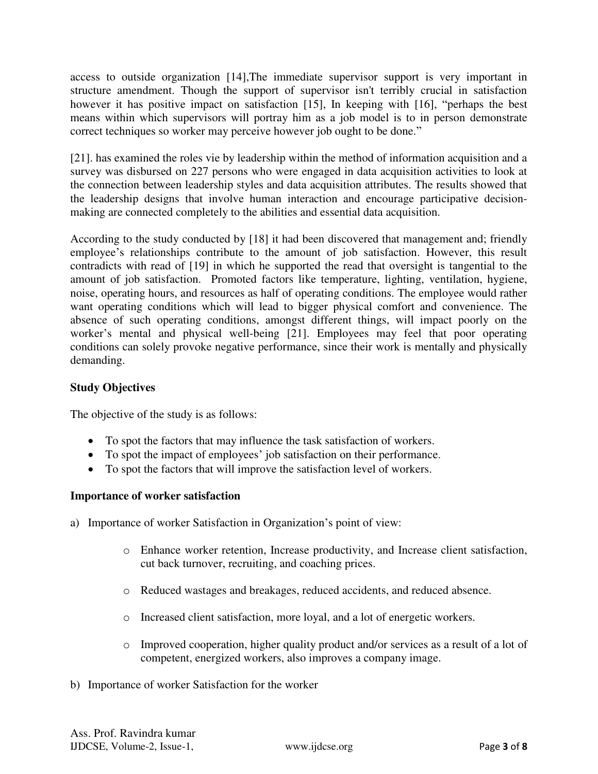access to outside organization [14],The immediate supervisor support is very important in structure amendment. Though the support of supervisor isn't terribly crucial in satisfaction however it has positive impact on satisfaction [15], In keeping with [16], "perhaps the best means within which supervisors will portray him as a job model is to in person demonstrate correct techniques so worker may perceive however job ought to be done."

[21]. has examined the roles vie by leadership within the method of information acquisition and a survey was disbursed on 227 persons who were engaged in data acquisition activities to look at the connection between leadership styles and data acquisition attributes. The results showed that the leadership designs that involve human interaction and encourage participative decisionmaking are connected completely to the abilities and essential data acquisition.

According to the study conducted by [18] it had been discovered that management and; friendly employee's relationships contribute to the amount of job satisfaction. However, this result contradicts with read of [19] in which he supported the read that oversight is tangential to the amount of job satisfaction. Promoted factors like temperature, lighting, ventilation, hygiene, noise, operating hours, and resources as half of operating conditions. The employee would rather want operating conditions which will lead to bigger physical comfort and convenience. The absence of such operating conditions, amongst different things, will impact poorly on the worker's mental and physical well-being [21]. Employees may feel that poor operating conditions can solely provoke negative performance, since their work is mentally and physically demanding.

# **Study Objectives**

The objective of the study is as follows:

- To spot the factors that may influence the task satisfaction of workers.
- To spot the impact of employees' job satisfaction on their performance.
- To spot the factors that will improve the satisfaction level of workers.

# **Importance of worker satisfaction**

- a) Importance of worker Satisfaction in Organization's point of view:
	- o Enhance worker retention, Increase productivity, and Increase client satisfaction, cut back turnover, recruiting, and coaching prices.
	- o Reduced wastages and breakages, reduced accidents, and reduced absence.
	- o Increased client satisfaction, more loyal, and a lot of energetic workers.
	- o Improved cooperation, higher quality product and/or services as a result of a lot of competent, energized workers, also improves a company image.
- b) Importance of worker Satisfaction for the worker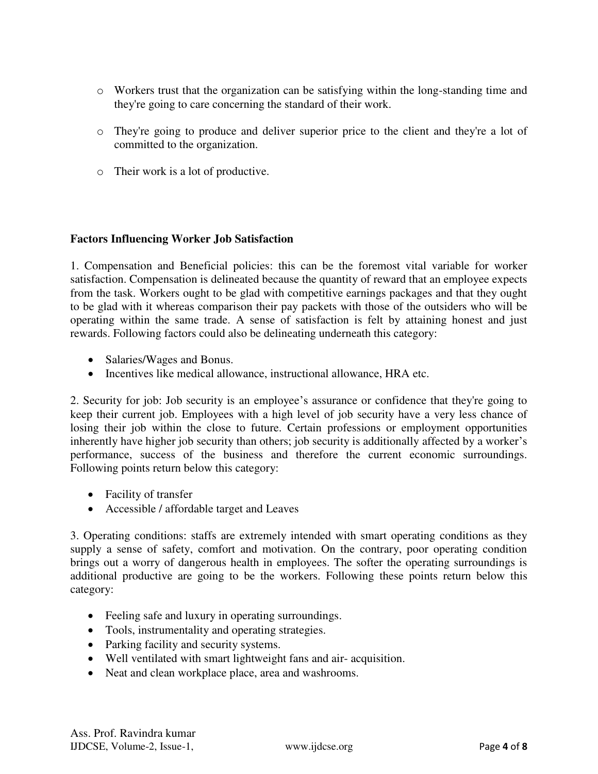- o Workers trust that the organization can be satisfying within the long-standing time and they're going to care concerning the standard of their work.
- o They're going to produce and deliver superior price to the client and they're a lot of committed to the organization.
- o Their work is a lot of productive.

# **Factors Influencing Worker Job Satisfaction**

1. Compensation and Beneficial policies: this can be the foremost vital variable for worker satisfaction. Compensation is delineated because the quantity of reward that an employee expects from the task. Workers ought to be glad with competitive earnings packages and that they ought to be glad with it whereas comparison their pay packets with those of the outsiders who will be operating within the same trade. A sense of satisfaction is felt by attaining honest and just rewards. Following factors could also be delineating underneath this category:

- Salaries/Wages and Bonus.
- Incentives like medical allowance, instructional allowance, HRA etc.

2. Security for job: Job security is an employee's assurance or confidence that they're going to keep their current job. Employees with a high level of job security have a very less chance of losing their job within the close to future. Certain professions or employment opportunities inherently have higher job security than others; job security is additionally affected by a worker's performance, success of the business and therefore the current economic surroundings. Following points return below this category:

- Facility of transfer
- Accessible / affordable target and Leaves

3. Operating conditions: staffs are extremely intended with smart operating conditions as they supply a sense of safety, comfort and motivation. On the contrary, poor operating condition brings out a worry of dangerous health in employees. The softer the operating surroundings is additional productive are going to be the workers. Following these points return below this category:

- Feeling safe and luxury in operating surroundings.
- Tools, instrumentality and operating strategies.
- Parking facility and security systems.
- Well ventilated with smart lightweight fans and air- acquisition.
- Neat and clean workplace place, area and washrooms.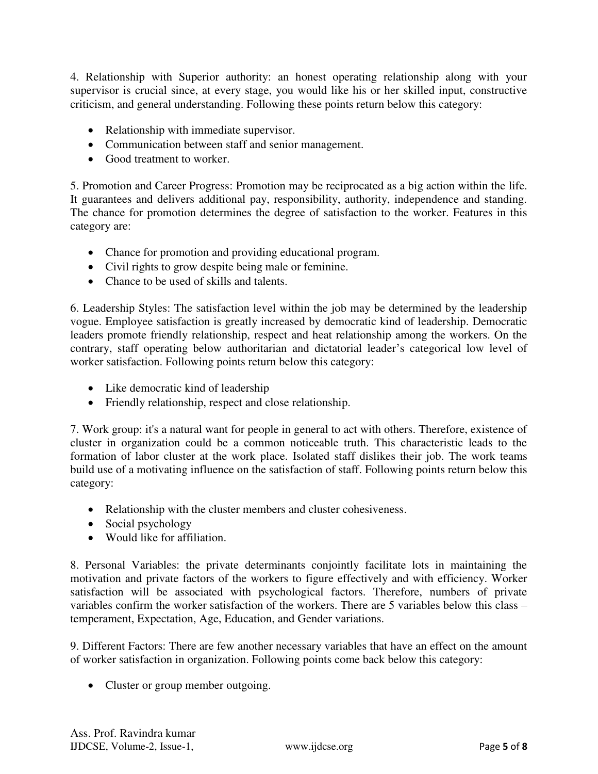4. Relationship with Superior authority: an honest operating relationship along with your supervisor is crucial since, at every stage, you would like his or her skilled input, constructive criticism, and general understanding. Following these points return below this category:

- Relationship with immediate supervisor.
- Communication between staff and senior management.
- Good treatment to worker.

5. Promotion and Career Progress: Promotion may be reciprocated as a big action within the life. It guarantees and delivers additional pay, responsibility, authority, independence and standing. The chance for promotion determines the degree of satisfaction to the worker. Features in this category are:

- Chance for promotion and providing educational program.
- Civil rights to grow despite being male or feminine.
- Chance to be used of skills and talents.

6. Leadership Styles: The satisfaction level within the job may be determined by the leadership vogue. Employee satisfaction is greatly increased by democratic kind of leadership. Democratic leaders promote friendly relationship, respect and heat relationship among the workers. On the contrary, staff operating below authoritarian and dictatorial leader's categorical low level of worker satisfaction. Following points return below this category:

- Like democratic kind of leadership
- Friendly relationship, respect and close relationship.

7. Work group: it's a natural want for people in general to act with others. Therefore, existence of cluster in organization could be a common noticeable truth. This characteristic leads to the formation of labor cluster at the work place. Isolated staff dislikes their job. The work teams build use of a motivating influence on the satisfaction of staff. Following points return below this category:

- Relationship with the cluster members and cluster cohesiveness.
- Social psychology
- Would like for affiliation.

8. Personal Variables: the private determinants conjointly facilitate lots in maintaining the motivation and private factors of the workers to figure effectively and with efficiency. Worker satisfaction will be associated with psychological factors. Therefore, numbers of private variables confirm the worker satisfaction of the workers. There are 5 variables below this class – temperament, Expectation, Age, Education, and Gender variations.

9. Different Factors: There are few another necessary variables that have an effect on the amount of worker satisfaction in organization. Following points come back below this category:

• Cluster or group member outgoing.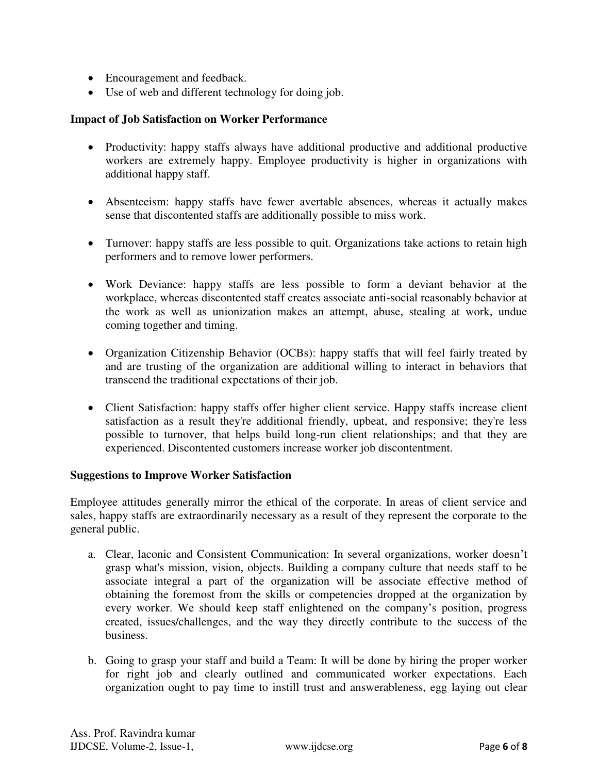- Encouragement and feedback.
- Use of web and different technology for doing job.

#### **Impact of Job Satisfaction on Worker Performance**

- Productivity: happy staffs always have additional productive and additional productive workers are extremely happy. Employee productivity is higher in organizations with additional happy staff.
- Absenteeism: happy staffs have fewer avertable absences, whereas it actually makes sense that discontented staffs are additionally possible to miss work.
- Turnover: happy staffs are less possible to quit. Organizations take actions to retain high performers and to remove lower performers.
- Work Deviance: happy staffs are less possible to form a deviant behavior at the workplace, whereas discontented staff creates associate anti-social reasonably behavior at the work as well as unionization makes an attempt, abuse, stealing at work, undue coming together and timing.
- Organization Citizenship Behavior (OCBs): happy staffs that will feel fairly treated by and are trusting of the organization are additional willing to interact in behaviors that transcend the traditional expectations of their job.
- Client Satisfaction: happy staffs offer higher client service. Happy staffs increase client satisfaction as a result they're additional friendly, upbeat, and responsive; they're less possible to turnover, that helps build long-run client relationships; and that they are experienced. Discontented customers increase worker job discontentment.

#### **Suggestions to Improve Worker Satisfaction**

Employee attitudes generally mirror the ethical of the corporate. In areas of client service and sales, happy staffs are extraordinarily necessary as a result of they represent the corporate to the general public.

- a. Clear, laconic and Consistent Communication: In several organizations, worker doesn't grasp what's mission, vision, objects. Building a company culture that needs staff to be associate integral a part of the organization will be associate effective method of obtaining the foremost from the skills or competencies dropped at the organization by every worker. We should keep staff enlightened on the company's position, progress created, issues/challenges, and the way they directly contribute to the success of the business.
- b. Going to grasp your staff and build a Team: It will be done by hiring the proper worker for right job and clearly outlined and communicated worker expectations. Each organization ought to pay time to instill trust and answerableness, egg laying out clear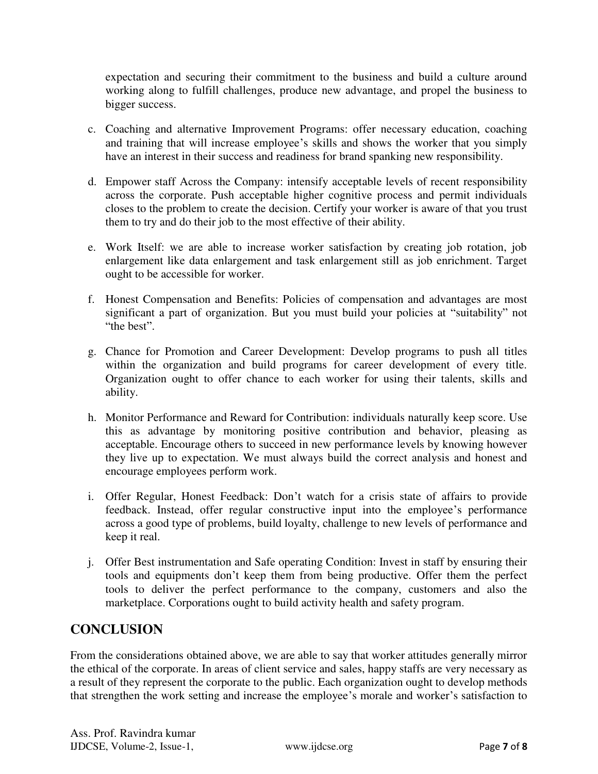expectation and securing their commitment to the business and build a culture around working along to fulfill challenges, produce new advantage, and propel the business to bigger success.

- c. Coaching and alternative Improvement Programs: offer necessary education, coaching and training that will increase employee's skills and shows the worker that you simply have an interest in their success and readiness for brand spanking new responsibility.
- d. Empower staff Across the Company: intensify acceptable levels of recent responsibility across the corporate. Push acceptable higher cognitive process and permit individuals closes to the problem to create the decision. Certify your worker is aware of that you trust them to try and do their job to the most effective of their ability.
- e. Work Itself: we are able to increase worker satisfaction by creating job rotation, job enlargement like data enlargement and task enlargement still as job enrichment. Target ought to be accessible for worker.
- f. Honest Compensation and Benefits: Policies of compensation and advantages are most significant a part of organization. But you must build your policies at "suitability" not "the best".
- g. Chance for Promotion and Career Development: Develop programs to push all titles within the organization and build programs for career development of every title. Organization ought to offer chance to each worker for using their talents, skills and ability.
- h. Monitor Performance and Reward for Contribution: individuals naturally keep score. Use this as advantage by monitoring positive contribution and behavior, pleasing as acceptable. Encourage others to succeed in new performance levels by knowing however they live up to expectation. We must always build the correct analysis and honest and encourage employees perform work.
- i. Offer Regular, Honest Feedback: Don't watch for a crisis state of affairs to provide feedback. Instead, offer regular constructive input into the employee's performance across a good type of problems, build loyalty, challenge to new levels of performance and keep it real.
- j. Offer Best instrumentation and Safe operating Condition: Invest in staff by ensuring their tools and equipments don't keep them from being productive. Offer them the perfect tools to deliver the perfect performance to the company, customers and also the marketplace. Corporations ought to build activity health and safety program.

# **CONCLUSION**

From the considerations obtained above, we are able to say that worker attitudes generally mirror the ethical of the corporate. In areas of client service and sales, happy staffs are very necessary as a result of they represent the corporate to the public. Each organization ought to develop methods that strengthen the work setting and increase the employee's morale and worker's satisfaction to